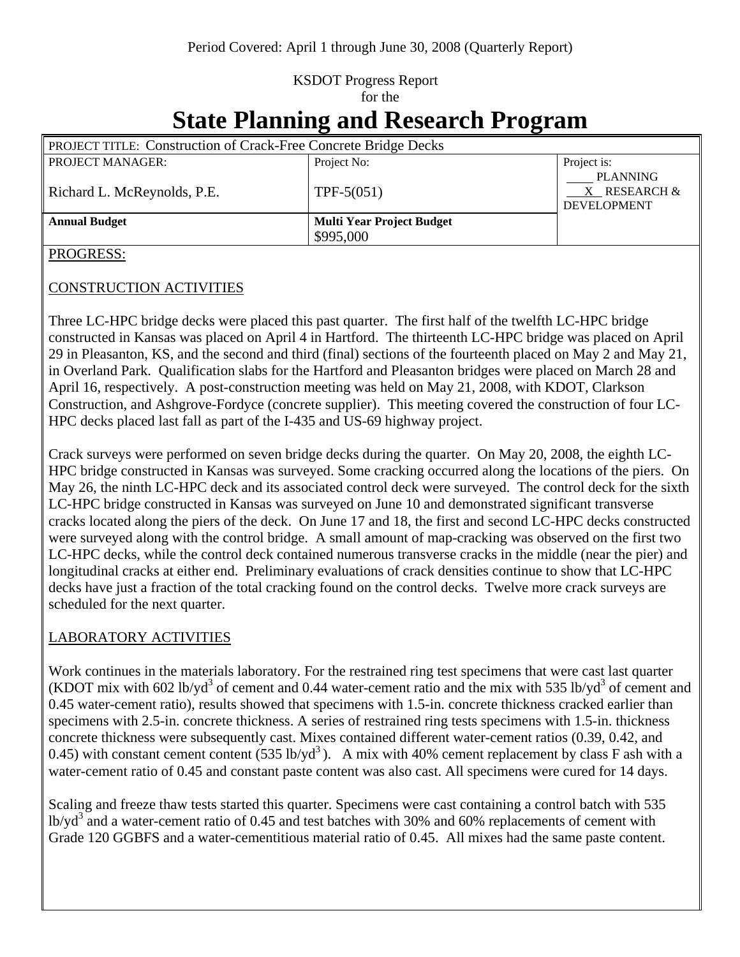## KSDOT Progress Report for the

# **State Planning and Research Program**

| <b>PROJECT TITLE: Construction of Crack-Free Concrete Bridge Decks</b> |                                  |                                                       |
|------------------------------------------------------------------------|----------------------------------|-------------------------------------------------------|
| <b>PROJECT MANAGER:</b>                                                | Project No:                      | Project is:                                           |
| Richard L. McReynolds, P.E.                                            | $TPF-5(051)$                     | <b>PLANNING</b><br>X RESEARCH &<br><b>DEVELOPMENT</b> |
| <b>Annual Budget</b>                                                   | <b>Multi Year Project Budget</b> |                                                       |
|                                                                        | \$995,000                        |                                                       |

#### PROGRESS:

#### CONSTRUCTION ACTIVITIES

Three LC-HPC bridge decks were placed this past quarter. The first half of the twelfth LC-HPC bridge constructed in Kansas was placed on April 4 in Hartford. The thirteenth LC-HPC bridge was placed on April 29 in Pleasanton, KS, and the second and third (final) sections of the fourteenth placed on May 2 and May 21, in Overland Park. Qualification slabs for the Hartford and Pleasanton bridges were placed on March 28 and April 16, respectively. A post-construction meeting was held on May 21, 2008, with KDOT, Clarkson Construction, and Ashgrove-Fordyce (concrete supplier). This meeting covered the construction of four LC-HPC decks placed last fall as part of the I-435 and US-69 highway project.

Crack surveys were performed on seven bridge decks during the quarter. On May 20, 2008, the eighth LC-HPC bridge constructed in Kansas was surveyed. Some cracking occurred along the locations of the piers. On May 26, the ninth LC-HPC deck and its associated control deck were surveyed. The control deck for the sixth LC-HPC bridge constructed in Kansas was surveyed on June 10 and demonstrated significant transverse cracks located along the piers of the deck. On June 17 and 18, the first and second LC-HPC decks constructed were surveyed along with the control bridge. A small amount of map-cracking was observed on the first two LC-HPC decks, while the control deck contained numerous transverse cracks in the middle (near the pier) and longitudinal cracks at either end. Preliminary evaluations of crack densities continue to show that LC-HPC decks have just a fraction of the total cracking found on the control decks. Twelve more crack surveys are scheduled for the next quarter.

### LABORATORY ACTIVITIES

Work continues in the materials laboratory. For the restrained ring test specimens that were cast last quarter (KDOT mix with 602 lb/yd<sup>3</sup> of cement and 0.44 water-cement ratio and the mix with 535 lb/yd<sup>3</sup> of cement and 0.45 water-cement ratio), results showed that specimens with 1.5-in. concrete thickness cracked earlier than specimens with 2.5-in. concrete thickness. A series of restrained ring tests specimens with 1.5-in. thickness concrete thickness were subsequently cast. Mixes contained different water-cement ratios (0.39, 0.42, and 0.45) with constant cement content (535 lb/yd<sup>3</sup>). A mix with 40% cement replacement by class F ash with a water-cement ratio of 0.45 and constant paste content was also cast. All specimens were cured for 14 days.

Scaling and freeze thaw tests started this quarter. Specimens were cast containing a control batch with 535 lb/yd<sup>3</sup> and a water-cement ratio of 0.45 and test batches with 30% and 60% replacements of cement with Grade 120 GGBFS and a water-cementitious material ratio of 0.45. All mixes had the same paste content.